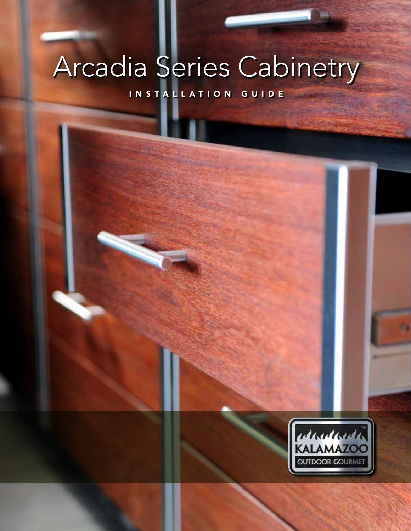# Arcadia Series Cabinetry INSTALLATION GUIDE

1.800.868.1699 1

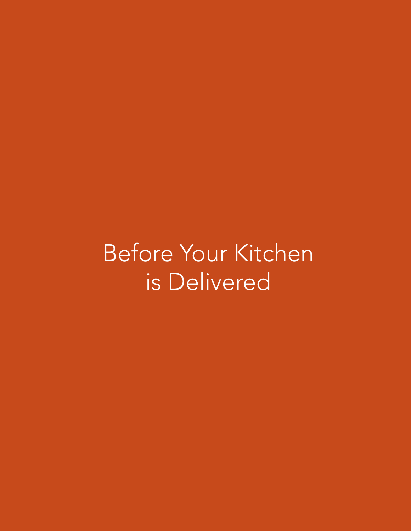# Before Your Kitchen is Delivered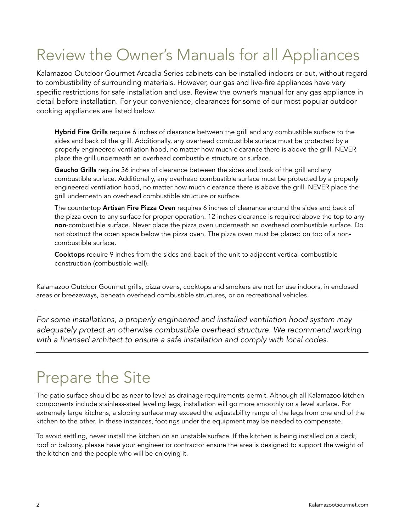### Review the Owner's Manuals for all Appliances

Kalamazoo Outdoor Gourmet Arcadia Series cabinets can be installed indoors or out, without regard to combustibility of surrounding materials. However, our gas and live-fire appliances have very specific restrictions for safe installation and use. Review the owner's manual for any gas appliance in detail before installation. For your convenience, clearances for some of our most popular outdoor cooking appliances are listed below.

Hybrid Fire Grills require 6 inches of clearance between the grill and any combustible surface to the sides and back of the grill. Additionally, any overhead combustible surface must be protected by a properly engineered ventilation hood, no matter how much clearance there is above the grill. NEVER place the grill underneath an overhead combustible structure or surface.

Gaucho Grills require 36 inches of clearance between the sides and back of the grill and any combustible surface. Additionally, any overhead combustible surface must be protected by a properly engineered ventilation hood, no matter how much clearance there is above the grill. NEVER place the grill underneath an overhead combustible structure or surface.

The countertop **Artisan Fire Pizza Oven** requires 6 inches of clearance around the sides and back of the pizza oven to any surface for proper operation. 12 inches clearance is required above the top to any non-combustible surface. Never place the pizza oven underneath an overhead combustible surface. Do not obstruct the open space below the pizza oven. The pizza oven must be placed on top of a noncombustible surface.

Cooktops require 9 inches from the sides and back of the unit to adjacent vertical combustible construction (combustible wall).

Kalamazoo Outdoor Gourmet grills, pizza ovens, cooktops and smokers are not for use indoors, in enclosed areas or breezeways, beneath overhead combustible structures, or on recreational vehicles.

*For some installations, a properly engineered and installed ventilation hood system may*  adequately protect an otherwise combustible overhead structure. We recommend working *with a licensed architect to ensure a safe installation and comply with local codes.*

### Prepare the Site

The patio surface should be as near to level as drainage requirements permit. Although all Kalamazoo kitchen components include stainless-steel leveling legs, installation will go more smoothly on a level surface. For extremely large kitchens, a sloping surface may exceed the adjustability range of the legs from one end of the kitchen to the other. In these instances, footings under the equipment may be needed to compensate.

To avoid settling, never install the kitchen on an unstable surface. If the kitchen is being installed on a deck, roof or balcony, please have your engineer or contractor ensure the area is designed to support the weight of the kitchen and the people who will be enjoying it.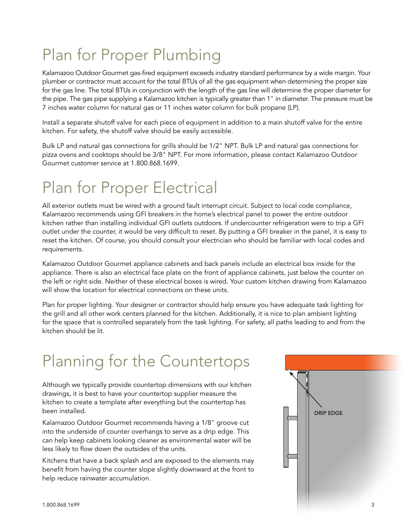# Plan for Proper Plumbing

Kalamazoo Outdoor Gourmet gas-fired equipment exceeds industry standard performance by a wide margin. Your plumber or contractor must account for the total BTUs of all the gas equipment when determining the proper size for the gas line. The total BTUs in conjunction with the length of the gas line will determine the proper diameter for the pipe. The gas pipe supplying a Kalamazoo kitchen is typically greater than 1" in diameter. The pressure must be 7 inches water column for natural gas or 11 inches water column for bulk propane (LP).

Install a separate shutoff valve for each piece of equipment in addition to a main shutoff valve for the entire kitchen. For safety, the shutoff valve should be easily accessible.

Bulk LP and natural gas connections for grills should be 1/2" NPT. Bulk LP and natural gas connections for pizza ovens and cooktops should be 3/8" NPT. For more information, please contact Kalamazoo Outdoor Gourmet customer service at 1.800.868.1699.

### Plan for Proper Electrical

All exterior outlets must be wired with a ground fault interrupt circuit. Subject to local code compliance, Kalamazoo recommends using GFI breakers in the home's electrical panel to power the entire outdoor kitchen rather than installing individual GFI outlets outdoors. If undercounter refrigeration were to trip a GFI outlet under the counter, it would be very difficult to reset. By putting a GFI breaker in the panel, it is easy to reset the kitchen. Of course, you should consult your electrician who should be familiar with local codes and requirements.

Kalamazoo Outdoor Gourmet appliance cabinets and back panels include an electrical box inside for the appliance. There is also an electrical face plate on the front of appliance cabinets, just below the counter on the left or right side. Neither of these electrical boxes is wired. Your custom kitchen drawing from Kalamazoo will show the location for electrical connections on these units.

Plan for proper lighting. Your designer or contractor should help ensure you have adequate task lighting for the grill and all other work centers planned for the kitchen. Additionally, it is nice to plan ambient lighting for the space that is controlled separately from the task lighting. For safety, all paths leading to and from the kitchen should be lit.

### Planning for the Countertops

Although we typically provide countertop dimensions with our kitchen drawings, it is best to have your countertop supplier measure the kitchen to create a template after everything but the countertop has been installed.

Kalamazoo Outdoor Gourmet recommends having a 1/8" groove cut into the underside of counter overhangs to serve as a drip edge. This can help keep cabinets looking cleaner as environmental water will be less likely to flow down the outsides of the units.

Kitchens that have a back splash and are exposed to the elements may benefit from having the counter slope slightly downward at the front to help reduce rainwater accumulation.

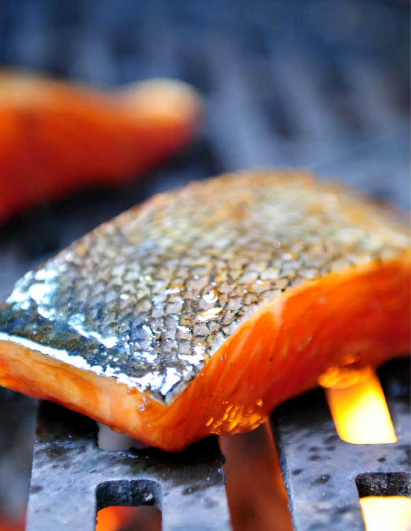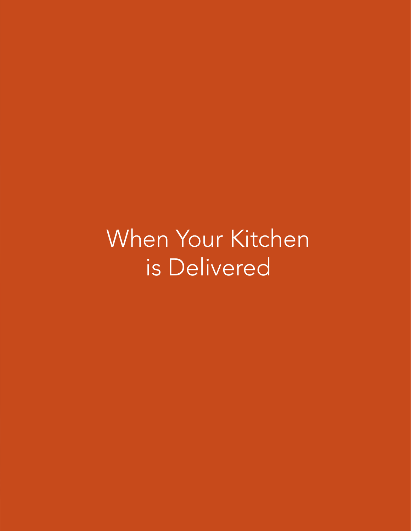When Your Kitchen is Delivered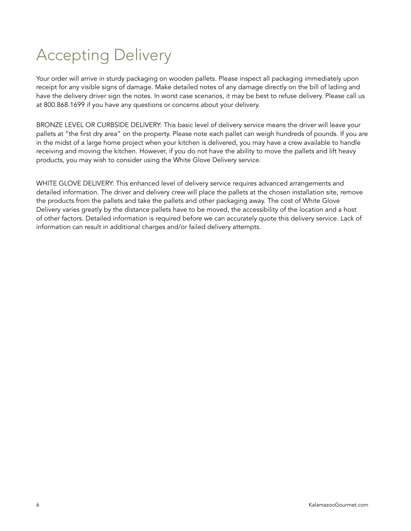# Accepting Delivery

Your order will arrive in sturdy packaging on wooden pallets. Please inspect all packaging immediately upon receipt for any visible signs of damage. Make detailed notes of any damage directly on the bill of lading and have the delivery driver sign the notes. In worst case scenarios, it may be best to refuse delivery. Please call us at 800.868.1699 if you have any questions or concerns about your delivery.

BRONZE LEVEL OR CURBSIDE DELIVERY: This basic level of delivery service means the driver will leave your pallets at "the first dry area" on the property. Please note each pallet can weigh hundreds of pounds. If you are in the midst of a large home project when your kitchen is delivered, you may have a crew available to handle receiving and moving the kitchen. However, if you do not have the ability to move the pallets and lift heavy products, you may wish to consider using the White Glove Delivery service.

WHITE GLOVE DELIVERY: This enhanced level of delivery service requires advanced arrangements and detailed information. The driver and delivery crew will place the pallets at the chosen installation site, remove the products from the pallets and take the pallets and other packaging away. The cost of White Glove Delivery varies greatly by the distance pallets have to be moved, the accessibility of the location and a host of other factors. Detailed information is required before we can accurately quote this delivery service. Lack of information can result in additional charges and/or failed delivery attempts.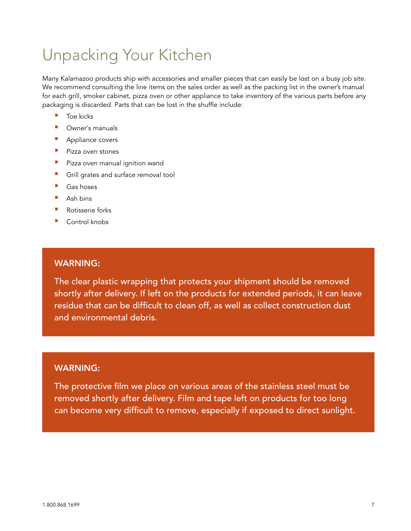# Unpacking Your Kitchen

Many Kalamazoo products ship with accessories and smaller pieces that can easily be lost on a busy job site. We recommend consulting the line items on the sales order as well as the packing list in the owner's manual for each grill, smoker cabinet, pizza oven or other appliance to take inventory of the various parts before any packaging is discarded. Parts that can be lost in the shuffle include:

- Toe kicks
- **Company** Company Company
- Appliance covers
- **Pizza oven stones**
- **Pizza oven manual ignition wand**
- **Grill grates and surface removal tool**
- Gas hoses
- Ash bins
- Rotisserie forks
- Control knobs

#### WARNING:

The clear plastic wrapping that protects your shipment should be removed shortly after delivery. If left on the products for extended periods, it can leave residue that can be difficult to clean off, as well as collect construction dust and environmental debris.

#### WARNING:

The protective film we place on various areas of the stainless steel must be removed shortly after delivery. Film and tape left on products for too long can become very difficult to remove, especially if exposed to direct sunlight.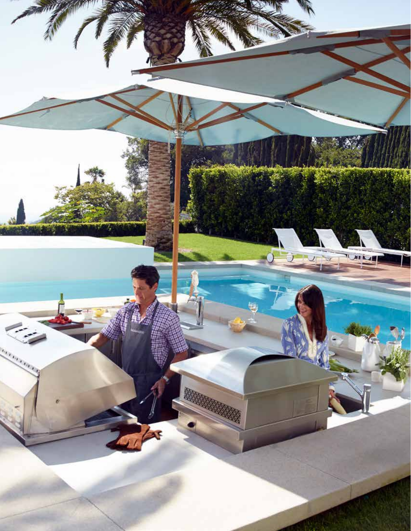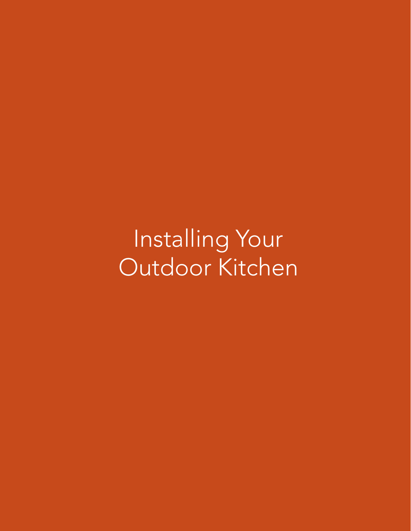Installing Your Outdoor Kitchen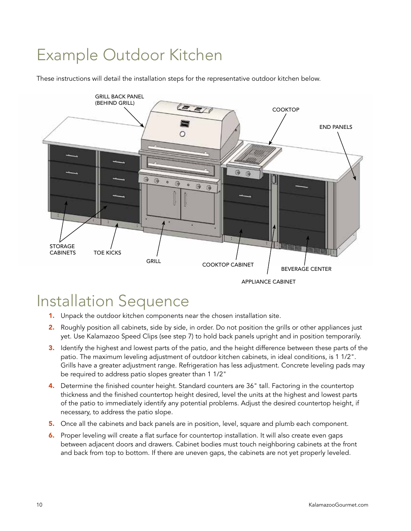### Example Outdoor Kitchen

These instructions will detail the installation steps for the representative outdoor kitchen below.



APPLIANCE CABINET

### Installation Sequence

- **1.** Unpack the outdoor kitchen components near the chosen installation site.
- 2. Roughly position all cabinets, side by side, in order. Do not position the grills or other appliances just yet. Use Kalamazoo Speed Clips (see step 7) to hold back panels upright and in position temporarily.
- **3.** Identify the highest and lowest parts of the patio, and the height difference between these parts of the patio. The maximum leveling adjustment of outdoor kitchen cabinets, in ideal conditions, is 1 1/2". Grills have a greater adjustment range. Refrigeration has less adjustment. Concrete leveling pads may be required to address patio slopes greater than 1 1/2"
- 4. Determine the finished counter height. Standard counters are 36" tall. Factoring in the countertop thickness and the finished countertop height desired, level the units at the highest and lowest parts of the patio to immediately identify any potential problems. Adjust the desired countertop height, if necessary, to address the patio slope.
- 5. Once all the cabinets and back panels are in position, level, square and plumb each component.
- 6. Proper leveling will create a flat surface for countertop installation. It will also create even gaps between adjacent doors and drawers. Cabinet bodies must touch neighboring cabinets at the front and back from top to bottom. If there are uneven gaps, the cabinets are not yet properly leveled.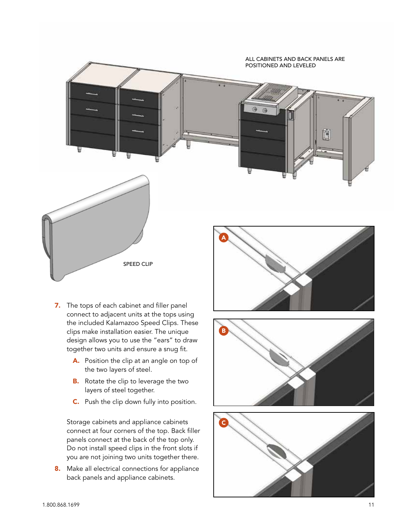

- 7. The tops of each cabinet and filler panel connect to adjacent units at the tops using the included Kalamazoo Speed Clips. These clips make installation easier. The unique design allows you to use the "ears" to draw together two units and ensure a snug fit.
	- A. Position the clip at an angle on top of the two layers of steel.
	- **B.** Rotate the clip to leverage the two layers of steel together.
	- C. Push the clip down fully into position.

Storage cabinets and appliance cabinets connect at four corners of the top. Back filler panels connect at the back of the top only. Do not install speed clips in the front slots if you are not joining two units together there.

8. Make all electrical connections for appliance back panels and appliance cabinets.



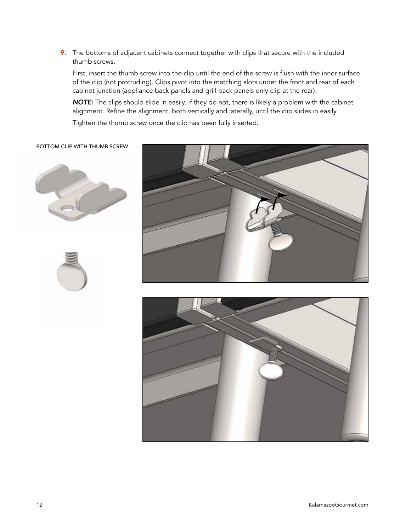9. The bottoms of adjacent cabinets connect together with clips that secure with the included thumb screws.

First, insert the thumb screw into the clip until the end of the screw is flush with the inner surface of the clip (not protruding). Clips pivot into the matching slots under the front and rear of each cabinet junction (appliance back panels and grill back panels only clip at the rear).

*NOTE:* The clips should slide in easily. If they do not, there is likely a problem with the cabinet alignment. Refine the alignment, both vertically and laterally, until the clip slides in easily.

Tighten the thumb screw once the clip has been fully inserted.

#### BOTTOM CLIP WITH THUMB SCREW



$$
\textcolor{red}{\bigcirc}
$$



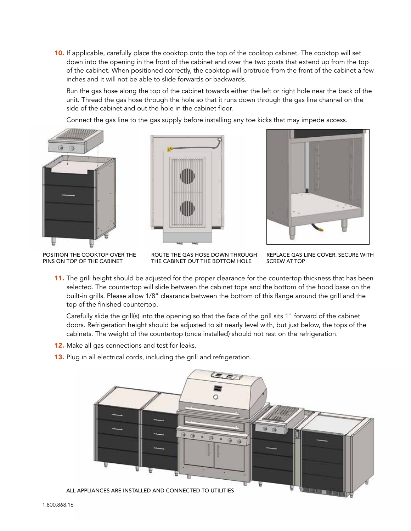**10.** If applicable, carefully place the cooktop onto the top of the cooktop cabinet. The cooktop will set down into the opening in the front of the cabinet and over the two posts that extend up from the top of the cabinet. When positioned correctly, the cooktop will protrude from the front of the cabinet a few inches and it will not be able to slide forwards or backwards.

Run the gas hose along the top of the cabinet towards either the left or right hole near the back of the unit. Thread the gas hose through the hole so that it runs down through the gas line channel on the side of the cabinet and out the hole in the cabinet floor.

Connect the gas line to the gas supply before installing any toe kicks that may impede access.







ROUTE THE GAS HOSE DOWN THROUGH THE CABINET OUT THE BOTTOM HOLE



REPLACE GAS LINE COVER. SECURE WITH SCREW AT TOP

11. The grill height should be adjusted for the proper clearance for the countertop thickness that has been selected. The countertop will slide between the cabinet tops and the bottom of the hood base on the built-in grills. Please allow 1/8" clearance between the bottom of this flange around the grill and the top of the finished countertop.

Carefully slide the grill(s) into the opening so that the face of the grill sits 1" forward of the cabinet doors. Refrigeration height should be adjusted to sit nearly level with, but just below, the tops of the cabinets. The weight of the countertop (once installed) should not rest on the refrigeration.

- **12.** Make all gas connections and test for leaks.
- **13.** Plug in all electrical cords, including the grill and refrigeration.

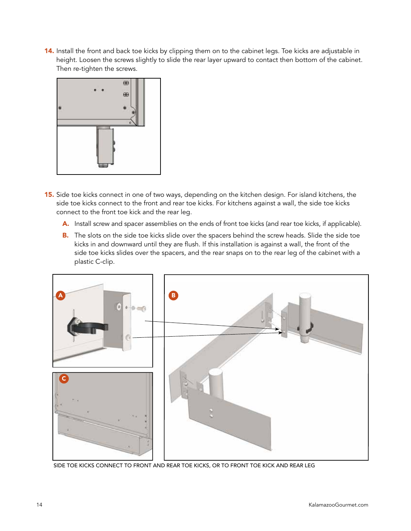14. Install the front and back toe kicks by clipping them on to the cabinet legs. Toe kicks are adjustable in height. Loosen the screws slightly to slide the rear layer upward to contact then bottom of the cabinet. Then re-tighten the screws.



- 15. Side toe kicks connect in one of two ways, depending on the kitchen design. For island kitchens, the side toe kicks connect to the front and rear toe kicks. For kitchens against a wall, the side toe kicks connect to the front toe kick and the rear leg.
	- A. Install screw and spacer assemblies on the ends of front toe kicks (and rear toe kicks, if applicable).
	- **B.** The slots on the side toe kicks slide over the spacers behind the screw heads. Slide the side toe kicks in and downward until they are flush. If this installation is against a wall, the front of the side toe kicks slides over the spacers, and the rear snaps on to the rear leg of the cabinet with a plastic C-clip.



SIDE TOE KICKS CONNECT TO FRONT AND REAR TOE KICKS, OR TO FRONT TOE KICK AND REAR LEG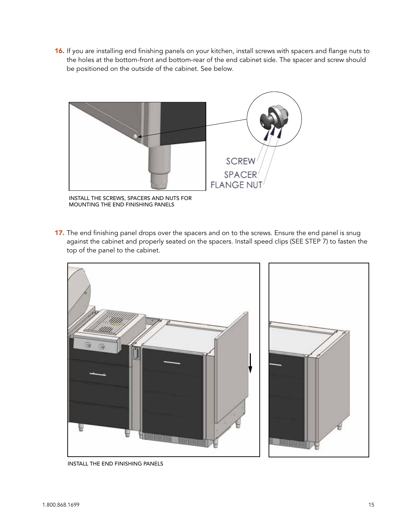16. If you are installing end finishing panels on your kitchen, install screws with spacers and flange nuts to the holes at the bottom-front and bottom-rear of the end cabinet side. The spacer and screw should be positioned on the outside of the cabinet. See below.



INSTALL THE SCREWS, SPACERS AND NUTS FOR MOUNTING THE END FINISHING PANELS

17. The end finishing panel drops over the spacers and on to the screws. Ensure the end panel is snug against the cabinet and properly seated on the spacers. Install speed clips (SEE STEP 7) to fasten the top of the panel to the cabinet.



INSTALL THE END FINISHING PANELS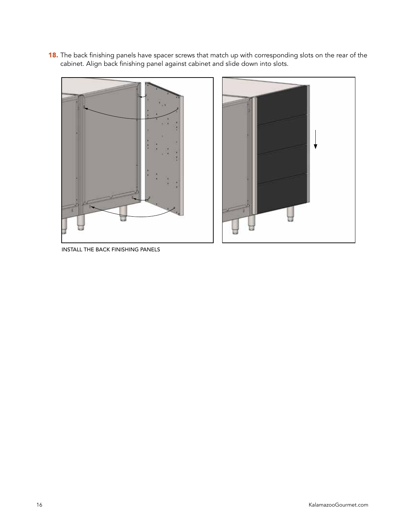18. The back finishing panels have spacer screws that match up with corresponding slots on the rear of the cabinet. Align back finishing panel against cabinet and slide down into slots.





INSTALL THE BACK FINISHING PANELS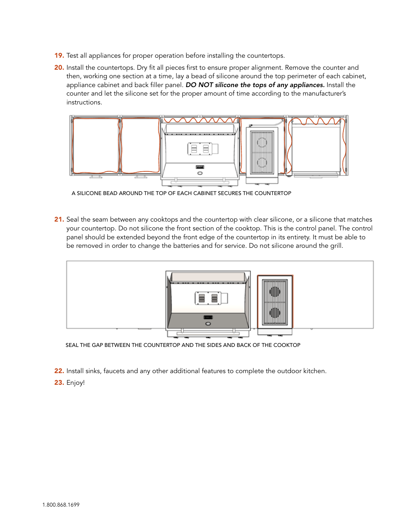- **19.** Test all appliances for proper operation before installing the countertops.
- 20. Install the countertops. Dry fit all pieces first to ensure proper alignment. Remove the counter and then, working one section at a time, lay a bead of silicone around the top perimeter of each cabinet, appliance cabinet and back filler panel. *DO NOT silicone the tops of any appliances.* Install the counter and let the silicone set for the proper amount of time according to the manufacturer's instructions.



A SILICONE BEAD AROUND THE TOP OF EACH CABINET SECURES THE COUNTERTOP

21. Seal the seam between any cooktops and the countertop with clear silicone, or a silicone that matches your countertop. Do not silicone the front section of the cooktop. This is the control panel. The control panel should be extended beyond the front edge of the countertop in its entirety. It must be able to be removed in order to change the batteries and for service. Do not silicone around the grill.



SEAL THE GAP BETWEEN THE COUNTERTOP AND THE SIDES AND BACK OF THE COOKTOP

22. Install sinks, faucets and any other additional features to complete the outdoor kitchen.

#### 23. Enjoy!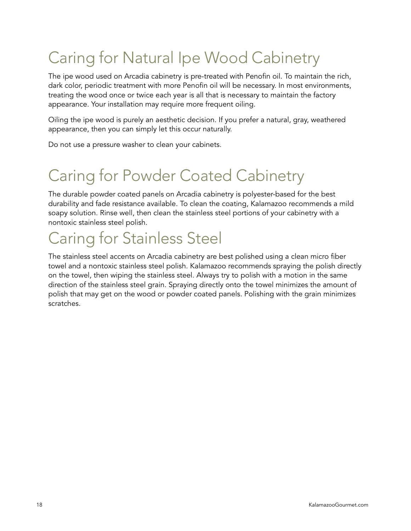### Caring for Natural Ipe Wood Cabinetry

The ipe wood used on Arcadia cabinetry is pre-treated with Penofin oil. To maintain the rich, dark color, periodic treatment with more Penofin oil will be necessary. In most environments, treating the wood once or twice each year is all that is necessary to maintain the factory appearance. Your installation may require more frequent oiling.

Oiling the ipe wood is purely an aesthetic decision. If you prefer a natural, gray, weathered appearance, then you can simply let this occur naturally.

Do not use a pressure washer to clean your cabinets.

### Caring for Powder Coated Cabinetry

The durable powder coated panels on Arcadia cabinetry is polyester-based for the best durability and fade resistance available. To clean the coating, Kalamazoo recommends a mild soapy solution. Rinse well, then clean the stainless steel portions of your cabinetry with a nontoxic stainless steel polish.

### Caring for Stainless Steel

The stainless steel accents on Arcadia cabinetry are best polished using a clean micro fiber towel and a nontoxic stainless steel polish. Kalamazoo recommends spraying the polish directly on the towel, then wiping the stainless steel. Always try to polish with a motion in the same direction of the stainless steel grain. Spraying directly onto the towel minimizes the amount of polish that may get on the wood or powder coated panels. Polishing with the grain minimizes scratches.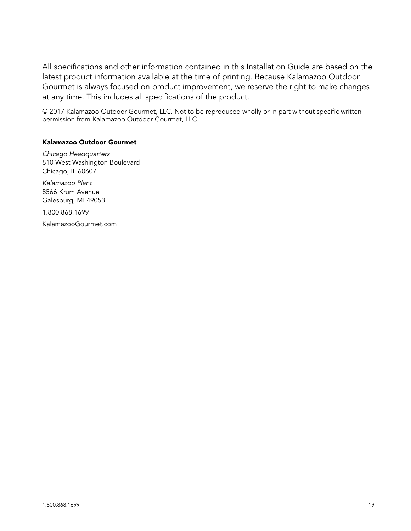All specifications and other information contained in this Installation Guide are based on the latest product information available at the time of printing. Because Kalamazoo Outdoor Gourmet is always focused on product improvement, we reserve the right to make changes at any time. This includes all specifications of the product.

© 2017 Kalamazoo Outdoor Gourmet, LLC. Not to be reproduced wholly or in part without specific written permission from Kalamazoo Outdoor Gourmet, LLC.

#### Kalamazoo Outdoor Gourmet

*Chicago Headquarters* 810 West Washington Boulevard Chicago, IL 60607

*Kalamazoo Plant* 8566 Krum Avenue Galesburg, MI 49053

1.800.868.1699 KalamazooGourmet.com